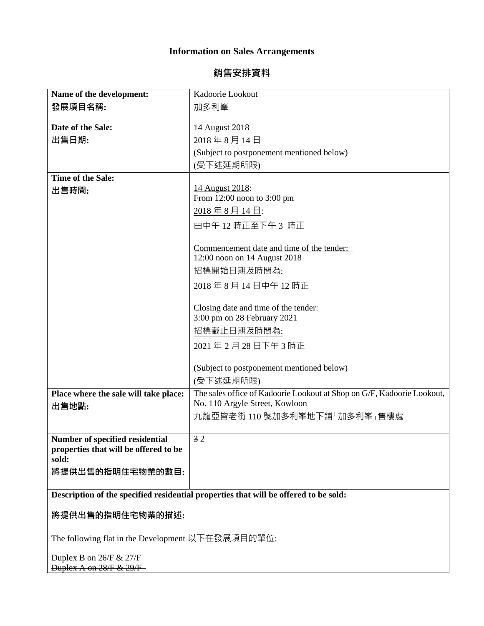## **Information on Sales Arrangements**

## 銷售安排資料

| Name of the development:                                                             | Kadoorie Lookout                                                                                         |
|--------------------------------------------------------------------------------------|----------------------------------------------------------------------------------------------------------|
| 發展項目名稱:                                                                              | 加多利峯                                                                                                     |
|                                                                                      |                                                                                                          |
| Date of the Sale:                                                                    | 14 August 2018                                                                                           |
| 出售日期:                                                                                | 2018年8月14日                                                                                               |
|                                                                                      | (Subject to postponement mentioned below)                                                                |
|                                                                                      | (受下述延期所限)                                                                                                |
| Time of the Sale:                                                                    |                                                                                                          |
|                                                                                      | 14 August 2018:                                                                                          |
| 出售時間:                                                                                | From $12:00$ noon to $3:00$ pm                                                                           |
|                                                                                      | 2018年8月14日:                                                                                              |
|                                                                                      |                                                                                                          |
|                                                                                      | 由中午12時正至下午3時正                                                                                            |
|                                                                                      | Commencement date and time of the tender:                                                                |
|                                                                                      | 12:00 noon on 14 August 2018                                                                             |
|                                                                                      | 招標開始日期及時間為:                                                                                              |
|                                                                                      | 2018年8月14日中午12時正                                                                                         |
|                                                                                      |                                                                                                          |
|                                                                                      | Closing date and time of the tender:                                                                     |
|                                                                                      | 3:00 pm on 28 February 2021                                                                              |
|                                                                                      | 招標截止日期及時間為:                                                                                              |
|                                                                                      | 2021年2月28日下午3時正                                                                                          |
|                                                                                      |                                                                                                          |
|                                                                                      | (Subject to postponement mentioned below)                                                                |
|                                                                                      | (受下述延期所限)                                                                                                |
|                                                                                      |                                                                                                          |
| Place where the sale will take place:                                                | The sales office of Kadoorie Lookout at Shop on G/F, Kadoorie Lookout,<br>No. 110 Argyle Street, Kowloon |
| 出售地點:                                                                                | 九龍亞皆老街110號加多利峯地下舖「加多利峯」售樓處                                                                               |
|                                                                                      |                                                                                                          |
| <b>Number of specified residential</b>                                               | 32                                                                                                       |
| properties that will be offered to be                                                |                                                                                                          |
| sold:                                                                                |                                                                                                          |
| 將提供出售的指明住宅物業的數目:                                                                     |                                                                                                          |
|                                                                                      |                                                                                                          |
| Description of the specified residential properties that will be offered to be sold: |                                                                                                          |
| 將提供出售的指明住宅物業的描述:                                                                     |                                                                                                          |
| The following flat in the Development 以下在發展項目的單位:                                    |                                                                                                          |
| Duplex B on 26/F & 27/F                                                              |                                                                                                          |
| Duplex A on 28/F & 29/F                                                              |                                                                                                          |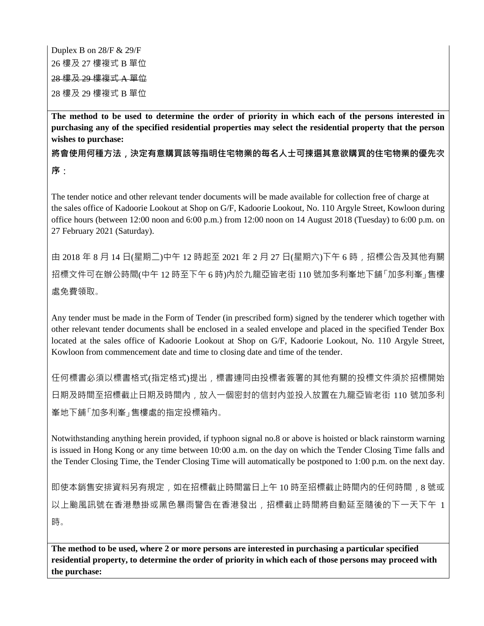Duplex B on 28/F & 29/F 樓及 27 樓複式 B 單位 樓及 29 樓複式 A 單位 樓及 29 樓複式 B 單位

**The method to be used to determine the order of priority in which each of the persons interested in purchasing any of the specified residential properties may select the residential property that the person wishes to purchase:**

將會使用何種方法,決定有意購買該等指明住宅物業的每名人士可揀選其意欲購買的住宅物業的優先次 序:

The tender notice and other relevant tender documents will be made available for collection free of charge at the sales office of Kadoorie Lookout at Shop on G/F, Kadoorie Lookout, No. 110 Argyle Street, Kowloon during office hours (between 12:00 noon and 6:00 p.m.) from 12:00 noon on 14 August 2018 (Tuesday) to 6:00 p.m. on 27 February 2021 (Saturday).

由 2018 年 8 月 14 日(星期二)中午 12 時起至 2021 年 2 月 27 日(星期六)下午 6 時,招標公告及其他有關 招標文件可在辦公時間(中午 12 時至下午 6 時)內於九龍亞皆老街 110 號加多利峯地下舖「加多利峯」售樓 處免費領取。

Any tender must be made in the Form of Tender (in prescribed form) signed by the tenderer which together with other relevant tender documents shall be enclosed in a sealed envelope and placed in the specified Tender Box located at the sales office of Kadoorie Lookout at Shop on G/F, Kadoorie Lookout, No. 110 Argyle Street, Kowloon from commencement date and time to closing date and time of the tender.

任何標書必須以標書格式(指定格式)提出,標書連同由投標者簽署的其他有關的投標文件須於招標開始 日期及時間至招標截止日期及時間內,放入一個密封的信封內並投入放置在九龍亞皆老街 110 號加多利 峯地下舖「加多利峯」售樓處的指定投標箱內。

Notwithstanding anything herein provided, if typhoon signal no.8 or above is hoisted or black rainstorm warning is issued in Hong Kong or any time between 10:00 a.m. on the day on which the Tender Closing Time falls and the Tender Closing Time, the Tender Closing Time will automatically be postponed to 1:00 p.m. on the next day.

即使本銷售安排資料另有規定,如在招標截止時間當日上午 10 時至招標截止時間內的任何時間,8 號或 以上颱風訊號在香港懸掛或黑色暴雨警告在香港發出,招標截止時間將自動延至隨後的下一天下午 1 時。

**The method to be used, where 2 or more persons are interested in purchasing a particular specified residential property, to determine the order of priority in which each of those persons may proceed with the purchase:**